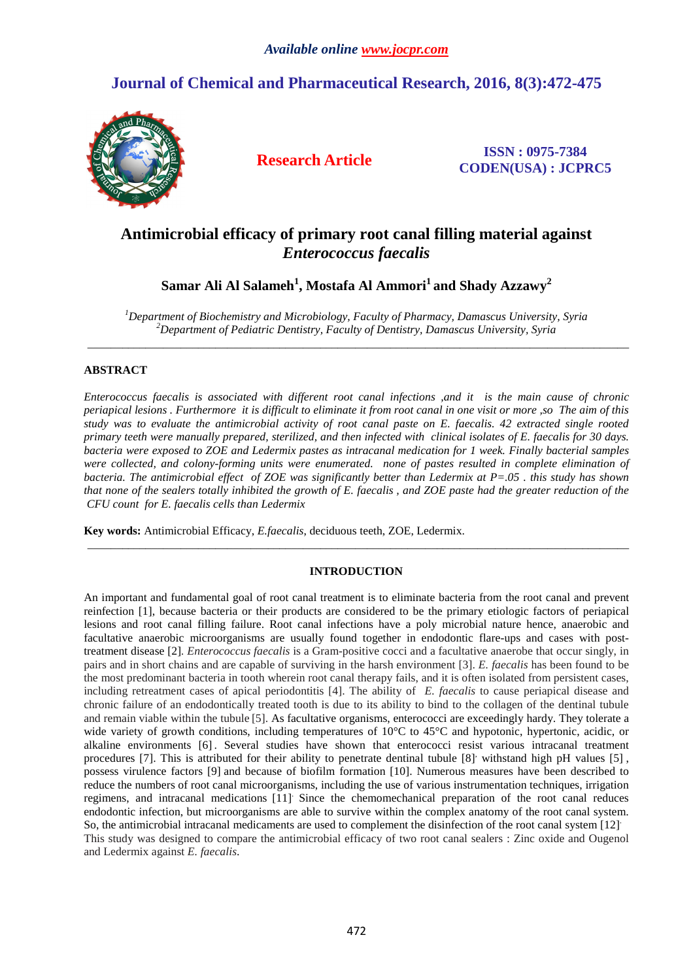# **Journal of Chemical and Pharmaceutical Research, 2016, 8(3):472-475**



**Research Article ISSN : 0975-7384 CODEN(USA) : JCPRC5**

# **Antimicrobial efficacy of primary root canal filling material against**  *Enterococcus faecalis*

## **Samar Ali Al Salameh<sup>1</sup> , Mostafa Al Ammori<sup>1</sup>and Shady Azzawy<sup>2</sup>**

*<sup>1</sup>Department of Biochemistry and Microbiology, Faculty of Pharmacy, Damascus University, Syria <sup>2</sup>Department of Pediatric Dentistry, Faculty of Dentistry, Damascus University, Syria*  \_\_\_\_\_\_\_\_\_\_\_\_\_\_\_\_\_\_\_\_\_\_\_\_\_\_\_\_\_\_\_\_\_\_\_\_\_\_\_\_\_\_\_\_\_\_\_\_\_\_\_\_\_\_\_\_\_\_\_\_\_\_\_\_\_\_\_\_\_\_\_\_\_\_\_\_\_\_\_\_\_\_\_\_\_\_\_\_\_\_\_\_\_

## **ABSTRACT**

*Enterococcus faecalis is associated with different root canal infections ,and it is the main cause of chronic periapical lesions . Furthermore it is difficult to eliminate it from root canal in one visit or more ,so The aim of this study was to evaluate the antimicrobial activity of root canal paste on E. faecalis. 42 extracted single rooted primary teeth were manually prepared, sterilized, and then infected with clinical isolates of E. faecalis for 30 days. bacteria were exposed to ZOE and Ledermix pastes as intracanal medication for 1 week. Finally bacterial samples were collected, and colony-forming units were enumerated. none of pastes resulted in complete elimination of bacteria. The antimicrobial effect of ZOE was significantly better than Ledermix at P=.05 . this study has shown that none of the sealers totally inhibited the growth of E. faecalis , and ZOE paste had the greater reduction of the CFU count for E. faecalis cells than Ledermix* 

**Key words:** Antimicrobial Efficacy, *E.faecalis*, deciduous teeth, ZOE, Ledermix.

## **INTRODUCTION**

\_\_\_\_\_\_\_\_\_\_\_\_\_\_\_\_\_\_\_\_\_\_\_\_\_\_\_\_\_\_\_\_\_\_\_\_\_\_\_\_\_\_\_\_\_\_\_\_\_\_\_\_\_\_\_\_\_\_\_\_\_\_\_\_\_\_\_\_\_\_\_\_\_\_\_\_\_\_\_\_\_\_\_\_\_\_\_\_\_\_\_\_\_

An important and fundamental goal of root canal treatment is to eliminate bacteria from the root canal and prevent reinfection [1], because bacteria or their products are considered to be the primary etiologic factors of periapical lesions and root canal filling failure. Root canal infections have a poly microbial nature hence, anaerobic and facultative anaerobic microorganisms are usually found together in endodontic flare-ups and cases with posttreatment disease [2]*. Enterococcus faecalis* is a Gram-positive cocci and a facultative anaerobe that occur singly, in pairs and in short chains and are capable of surviving in the harsh environment [3]. *E. faecalis* has been found to be the most predominant bacteria in tooth wherein root canal therapy fails, and it is often isolated from persistent cases, including retreatment cases of apical periodontitis [4]. The ability of *E. faecalis* to cause periapical disease and chronic failure of an endodontically treated tooth is due to its ability to bind to the collagen of the dentinal tubule and remain viable within the tubule [5]. As facultative organisms, enterococci are exceedingly hardy. They tolerate a wide variety of growth conditions, including temperatures of 10<sup>o</sup>C to 45<sup>o</sup>C and hypotonic, hypertonic, acidic, or alkaline environments [6] . Several studies have shown that enterococci resist various intracanal treatment procedures [7]. This is attributed for their ability to penetrate dentinal tubule [8]' withstand high pH values [5], possess virulence factors [9] and because of biofilm formation [10]. Numerous measures have been described to reduce the numbers of root canal microorganisms, including the use of various instrumentation techniques, irrigation regimens, and intracanal medications [11]. Since the chemomechanical preparation of the root canal reduces endodontic infection, but microorganisms are able to survive within the complex anatomy of the root canal system. So, the antimicrobial intracanal medicaments are used to complement the disinfection of the root canal system [12]. This study was designed to compare the antimicrobial efficacy of two root canal sealers : Zinc oxide and Ougenol and Ledermix against *E. faecalis*.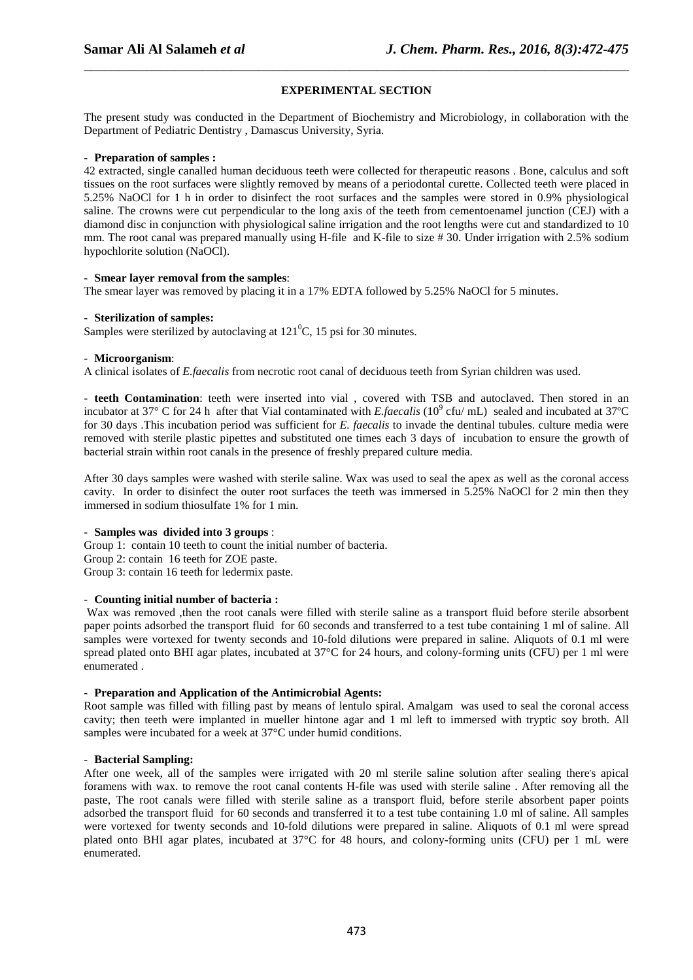## **EXPERIMENTAL SECTION**

\_\_\_\_\_\_\_\_\_\_\_\_\_\_\_\_\_\_\_\_\_\_\_\_\_\_\_\_\_\_\_\_\_\_\_\_\_\_\_\_\_\_\_\_\_\_\_\_\_\_\_\_\_\_\_\_\_\_\_\_\_\_\_\_\_\_\_\_\_\_\_\_\_\_\_\_\_\_

The present study was conducted in the Department of Biochemistry and Microbiology, in collaboration with the Department of Pediatric Dentistry , Damascus University, Syria.

#### - **Preparation of samples :**

42 extracted, single canalled human deciduous teeth were collected for therapeutic reasons . Bone, calculus and soft tissues on the root surfaces were slightly removed by means of a periodontal curette. Collected teeth were placed in 5.25% NaOCl for 1 h in order to disinfect the root surfaces and the samples were stored in 0.9% physiological saline. The crowns were cut perpendicular to the long axis of the teeth from cementoenamel junction (CEJ) with a diamond disc in conjunction with physiological saline irrigation and the root lengths were cut and standardized to 10 mm. The root canal was prepared manually using H-file and K-file to size #30. Under irrigation with 2.5% sodium hypochlorite solution (NaOCl).

#### - **Smear layer removal from the samples**:

The smear layer was removed by placing it in a 17% EDTA followed by 5.25% NaOCl for 5 minutes.

#### - **Sterilization of samples:**

Samples were sterilized by autoclaving at  $121^{\circ}$ C, 15 psi for 30 minutes.

#### - **Microorganism**:

A clinical isolates of *E.faecalis* from necrotic root canal of deciduous teeth from Syrian children was used.

- **teeth Contamination**: teeth were inserted into vial , covered with TSB and autoclaved. Then stored in an incubator at 37 $\degree$  C for 24 h after that Vial contaminated with *E.faecalis* (10 $\degree$  cfu/mL) sealed and incubated at 37 $\degree$ C for 30 days .This incubation period was sufficient for *E. faecalis* to invade the dentinal tubules. culture media were removed with sterile plastic pipettes and substituted one times each 3 days of incubation to ensure the growth of bacterial strain within root canals in the presence of freshly prepared culture media.

After 30 days samples were washed with sterile saline. Wax was used to seal the apex as well as the coronal access cavity. In order to disinfect the outer root surfaces the teeth was immersed in 5.25% NaOCl for 2 min then they immersed in sodium thiosulfate 1% for 1 min.

#### - **Samples was divided into 3 groups** :

Group 1: contain 10 teeth to count the initial number of bacteria. Group 2: contain 16 teeth for ZOE paste. Group 3: contain 16 teeth for ledermix paste.

## - **Counting initial number of bacteria :**

 Wax was removed ,then the root canals were filled with sterile saline as a transport fluid before sterile absorbent paper points adsorbed the transport fluid for 60 seconds and transferred to a test tube containing 1 ml of saline. All samples were vortexed for twenty seconds and 10-fold dilutions were prepared in saline. Aliquots of 0.1 ml were spread plated onto BHI agar plates, incubated at 37°C for 24 hours, and colony-forming units (CFU) per 1 ml were enumerated .

### - **Preparation and Application of the Antimicrobial Agents:**

Root sample was filled with filling past by means of lentulo spiral. Amalgam was used to seal the coronal access cavity; then teeth were implanted in mueller hintone agar and 1 ml left to immersed with tryptic soy broth. All samples were incubated for a week at 37°C under humid conditions.

### - **Bacterial Sampling:**

After one week, all of the samples were irrigated with 20 ml sterile saline solution after sealing there's apical foramens with wax. to remove the root canal contents H-file was used with sterile saline . After removing all the paste, The root canals were filled with sterile saline as a transport fluid, before sterile absorbent paper points adsorbed the transport fluid for 60 seconds and transferred it to a test tube containing 1.0 ml of saline. All samples were vortexed for twenty seconds and 10-fold dilutions were prepared in saline. Aliquots of 0.1 ml were spread plated onto BHI agar plates, incubated at 37°C for 48 hours, and colony-forming units (CFU) per 1 mL were enumerated.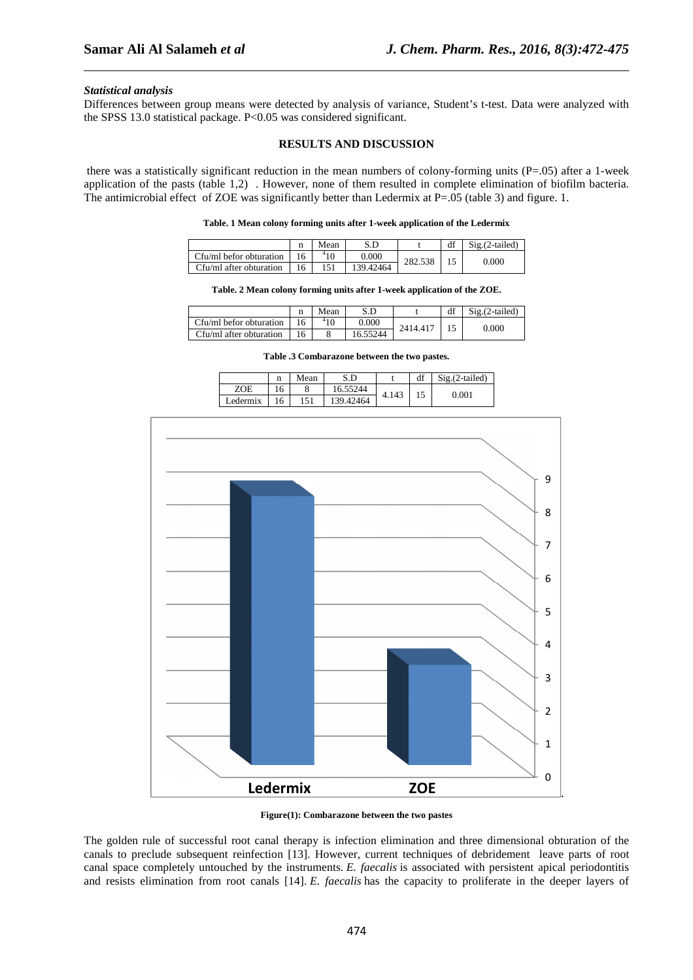#### *Statistical analysis*

Differences between group means were detected by analysis of variance, Student's t-test. Data were analyzed with the SPSS 13.0 statistical package. P<0.05 was considered significant.

\_\_\_\_\_\_\_\_\_\_\_\_\_\_\_\_\_\_\_\_\_\_\_\_\_\_\_\_\_\_\_\_\_\_\_\_\_\_\_\_\_\_\_\_\_\_\_\_\_\_\_\_\_\_\_\_\_\_\_\_\_\_\_\_\_\_\_\_\_\_\_\_\_\_\_\_\_\_

#### **RESULTS AND DISCUSSION**

 there was a statistically significant reduction in the mean numbers of colony-forming units (P=.05) after a 1-week application of the pasts (table 1,2) . However, none of them resulted in complete elimination of biofilm bacteria. The antimicrobial effect of ZOE was significantly better than Ledermix at P=.05 (table 3) and figure. 1.

|  |  |  | Table. 1 Mean colony forming units after 1-week application of the Ledermix |  |
|--|--|--|-----------------------------------------------------------------------------|--|
|  |  |  |                                                                             |  |

|                         | Mean | S.D       |         | $Sig. (2-tailed)$ |
|-------------------------|------|-----------|---------|-------------------|
| Cfu/ml befor obturation |      | 0.000     |         |                   |
| Cfu/ml after obturation |      | 139.42464 | 282.538 | 0.000             |

|  |  | Table. 2 Mean colony forming units after 1-week application of the ZOE. |
|--|--|-------------------------------------------------------------------------|
|--|--|-------------------------------------------------------------------------|

|                         | $\mathbf n$ | Mean |          |         | df | $Sig. (2-tailed)$ |
|-------------------------|-------------|------|----------|---------|----|-------------------|
| Cfu/ml befor obturation |             |      | 0.000    | 2414.41 |    | 0.000             |
| Cfu/ml after obturation | 16          |      | 16.55244 |         |    |                   |

**Table .3 Combarazone between the two pastes.** 

|          | 11 | Mean    | S.D       |       | df | $Sig. (2-tailed)$ |
|----------|----|---------|-----------|-------|----|-------------------|
| ZOE      | 16 | $\circ$ | 16.55244  | 4.143 |    | $\rm 0.001$       |
| ∟edermix | 16 | 151     | 139.42464 |       |    |                   |



**Figure(1): Combarazone between the two pastes** 

The golden rule of successful root canal therapy is infection elimination and three dimensional obturation of the canals to preclude subsequent reinfection [13]. However, current techniques of debridement leave parts of root canal space completely untouched by the instruments. *E. faecalis* is associated with persistent apical periodontitis and resists elimination from root canals [14]. *E. faecalis* has the capacity to proliferate in the deeper layers of